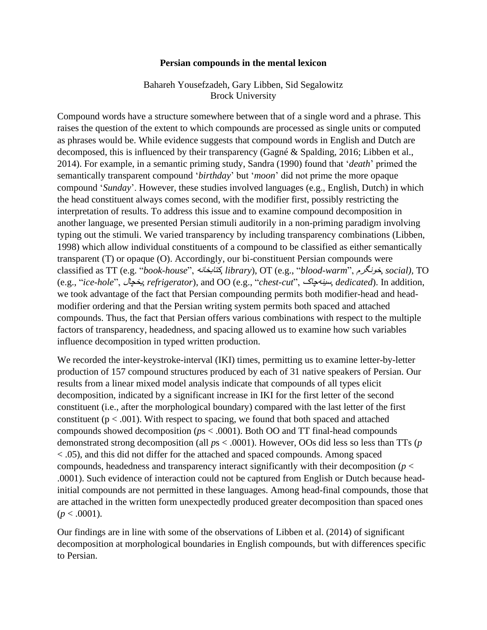## **Persian compounds in the mental lexicon**

## Bahareh Yousefzadeh, Gary Libben, Sid Segalowitz Brock University

Compound words have a structure somewhere between that of a single word and a phrase. This raises the question of the extent to which compounds are processed as single units or computed as phrases would be. While evidence suggests that compound words in English and Dutch are decomposed, this is influenced by their transparency (Gagné & Spalding, 2016; Libben et al., 2014). For example, in a semantic priming study, Sandra (1990) found that '*death*' primed the semantically transparent compound '*birthday*' but '*moon*' did not prime the more opaque compound '*Sunday*'. However, these studies involved languages (e.g., English, Dutch) in which the head constituent always comes second, with the modifier first, possibly restricting the interpretation of results. To address this issue and to examine compound decomposition in another language, we presented Persian stimuli auditorily in a non-priming paradigm involving typing out the stimuli. We varied transparency by including transparency combinations (Libben, 1998) which allow individual constituents of a compound to be classified as either semantically transparent (T) or opaque (O). Accordingly, our bi-constituent Persian compounds were classified as TT (e.g. "*book-house*", کتابخانه, *library*), OT (e.g., "*blood-warm*", خونگرم, *social),* TO (e.g., "*ice-hole*", یخچال, *refrigerator*), and OO (e.g., "*chest-cut*", سینهچاک, *dedicated*). In addition, we took advantage of the fact that Persian compounding permits both modifier-head and headmodifier ordering and that the Persian writing system permits both spaced and attached compounds. Thus, the fact that Persian offers various combinations with respect to the multiple factors of transparency, headedness, and spacing allowed us to examine how such variables influence decomposition in typed written production.

We recorded the inter-keystroke-interval (IKI) times, permitting us to examine letter-by-letter production of 157 compound structures produced by each of 31 native speakers of Persian. Our results from a linear mixed model analysis indicate that compounds of all types elicit decomposition, indicated by a significant increase in IKI for the first letter of the second constituent (i.e., after the morphological boundary) compared with the last letter of the first constituent ( $p < .001$ ). With respect to spacing, we found that both spaced and attached compounds showed decomposition (*p*s < .0001). Both OO and TT final-head compounds demonstrated strong decomposition (all *p*s < .0001). However, OOs did less so less than TTs (*p* < .05), and this did not differ for the attached and spaced compounds. Among spaced compounds, headedness and transparency interact significantly with their decomposition (*p* < .0001). Such evidence of interaction could not be captured from English or Dutch because headinitial compounds are not permitted in these languages. Among head-final compounds, those that are attached in the written form unexpectedly produced greater decomposition than spaced ones  $(p < .0001)$ .

Our findings are in line with some of the observations of Libben et al. (2014) of significant decomposition at morphological boundaries in English compounds, but with differences specific to Persian.